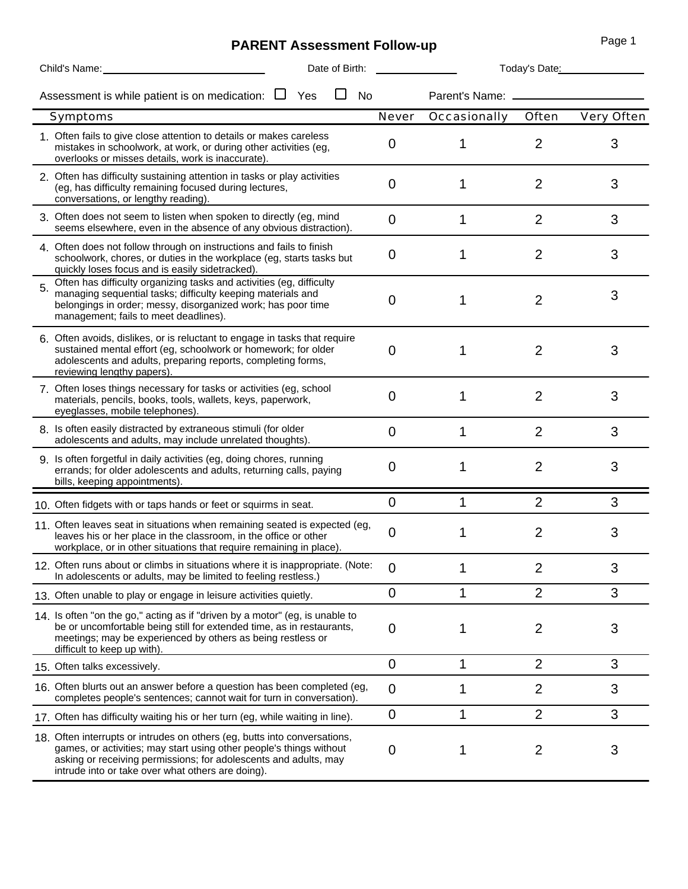## **PARENT Assessment Follow-up**

|    | Child's Name:                                                                                                                                                                                                                                                             | Date of Birth: |  |    |                | Today's Date:          |                |            |  |
|----|---------------------------------------------------------------------------------------------------------------------------------------------------------------------------------------------------------------------------------------------------------------------------|----------------|--|----|----------------|------------------------|----------------|------------|--|
|    | Assessment is while patient is on medication: $\Box$                                                                                                                                                                                                                      | Yes            |  | No |                | Parent's Name: _______ |                |            |  |
|    | Symptoms                                                                                                                                                                                                                                                                  |                |  |    | Never          | Occasionally           | Often          | Very Often |  |
|    | 1. Often fails to give close attention to details or makes careless<br>mistakes in schoolwork, at work, or during other activities (eg,<br>overlooks or misses details, work is inaccurate).                                                                              |                |  |    | 0              | 1                      | $\overline{2}$ | 3          |  |
|    | 2. Often has difficulty sustaining attention in tasks or play activities<br>(eg, has difficulty remaining focused during lectures,<br>conversations, or lengthy reading).                                                                                                 |                |  |    | 0              | 1                      | 2              | 3          |  |
|    | 3. Often does not seem to listen when spoken to directly (eg, mind<br>seems elsewhere, even in the absence of any obvious distraction).                                                                                                                                   |                |  |    | 0              | 1                      | $\overline{2}$ | 3          |  |
|    | 4. Often does not follow through on instructions and fails to finish<br>schoolwork, chores, or duties in the workplace (eg, starts tasks but<br>quickly loses focus and is easily sidetracked).                                                                           |                |  |    | 0              | 1                      | 2              | 3          |  |
| 5. | Often has difficulty organizing tasks and activities (eg, difficulty<br>managing sequential tasks; difficulty keeping materials and<br>belongings in order; messy, disorganized work; has poor time<br>management; fails to meet deadlines).                              |                |  |    | 0              | 1                      | $\overline{2}$ | 3          |  |
|    | 6. Often avoids, dislikes, or is reluctant to engage in tasks that require<br>sustained mental effort (eg, schoolwork or homework; for older<br>adolescents and adults, preparing reports, completing forms,<br>reviewing lengthy papers).                                |                |  |    | 0              |                        | 2              | 3          |  |
|    | 7. Often loses things necessary for tasks or activities (eg, school<br>materials, pencils, books, tools, wallets, keys, paperwork,<br>eyeglasses, mobile telephones).                                                                                                     |                |  |    | 0              | 1                      | $\overline{2}$ | 3          |  |
|    | 8. Is often easily distracted by extraneous stimuli (for older<br>adolescents and adults, may include unrelated thoughts).                                                                                                                                                |                |  |    | 0              | 1                      | $\overline{2}$ | 3          |  |
|    | 9. Is often forgetful in daily activities (eg, doing chores, running<br>errands; for older adolescents and adults, returning calls, paying<br>bills, keeping appointments).                                                                                               |                |  |    | 0              | 1                      | $\overline{2}$ | 3          |  |
|    | 10 Often fidgets with or taps hands or feet or squirms in seat.                                                                                                                                                                                                           |                |  |    | 0              | 1                      | $\overline{2}$ | 3          |  |
|    | 11 Often leaves seat in situations when remaining seated is expected (eg,<br>leaves his or her place in the classroom, in the office or other<br>workplace, or in other situations that require remaining in place).                                                      |                |  |    | $\overline{0}$ |                        | 2              | 3          |  |
|    | 12. Often runs about or climbs in situations where it is inappropriate. (Note:<br>In adolescents or adults, may be limited to feeling restless.)                                                                                                                          |                |  |    | 0              |                        | 2              | 3          |  |
|    | 13. Often unable to play or engage in leisure activities quietly.                                                                                                                                                                                                         |                |  |    | $\overline{0}$ | 1                      | $\overline{2}$ | 3          |  |
|    | 14. Is often "on the go," acting as if "driven by a motor" (eg, is unable to<br>be or uncomfortable being still for extended time, as in restaurants,<br>meetings; may be experienced by others as being restless or<br>difficult to keep up with).                       |                |  |    | 0              | 1                      | 2              | 3          |  |
|    | 15 Often talks excessively.                                                                                                                                                                                                                                               |                |  |    | 0              | 1                      | $\overline{2}$ | 3          |  |
|    | 16. Often blurts out an answer before a question has been completed (eg,<br>completes people's sentences; cannot wait for turn in conversation).                                                                                                                          |                |  |    | 0              | 1                      | 2              | 3          |  |
|    | 17. Often has difficulty waiting his or her turn (eg, while waiting in line).                                                                                                                                                                                             |                |  |    | $\mathbf 0$    | 1                      | $\overline{2}$ | 3          |  |
|    | 18. Often interrupts or intrudes on others (eg, butts into conversations,<br>games, or activities; may start using other people's things without<br>asking or receiving permissions; for adolescents and adults, may<br>intrude into or take over what others are doing). |                |  |    | 0              | 1                      | 2              | 3          |  |

Page 1